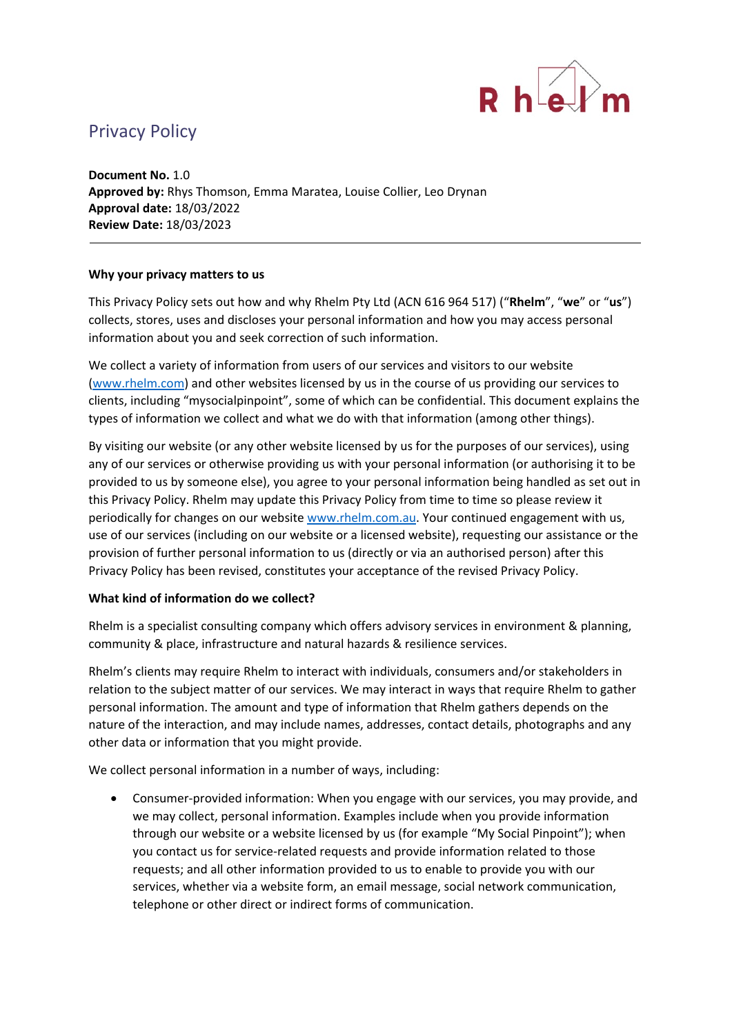

# Privacy Policy

**Document No.** 1.0 **Approved by:** Rhys Thomson, Emma Maratea, Louise Collier, Leo Drynan **Approval date:** 18/03/2022 **Review Date:** 18/03/2023

## **Why your privacy matters to us**

This Privacy Policy sets out how and why Rhelm Pty Ltd (ACN 616 964 517) ("**Rhelm**", "**we**" or "**us**") collects, stores, uses and discloses your personal information and how you may access personal information about you and seek correction of such information.

We collect a variety of information from users of our services and visitors to our website [\(www.rhelm.com\)](http://www.rhelm.com/) and other websites licensed by us in the course of us providing our services to clients, including "mysocialpinpoint", some of which can be confidential. This document explains the types of information we collect and what we do with that information (among other things).

By visiting our website (or any other website licensed by us for the purposes of our services), using any of our services or otherwise providing us with your personal information (or authorising it to be provided to us by someone else), you agree to your personal information being handled as set out in this Privacy Policy. Rhelm may update this Privacy Policy from time to time so please review it periodically for changes on our website [www.rhelm.com.au.](http://www.rhelm.com.au/) Your continued engagement with us, use of our services (including on our website or a licensed website), requesting our assistance or the provision of further personal information to us (directly or via an authorised person) after this Privacy Policy has been revised, constitutes your acceptance of the revised Privacy Policy.

#### **What kind of information do we collect?**

Rhelm is a specialist consulting company which offers advisory services in environment & planning, community & place, infrastructure and natural hazards & resilience services.

Rhelm's clients may require Rhelm to interact with individuals, consumers and/or stakeholders in relation to the subject matter of our services. We may interact in ways that require Rhelm to gather personal information. The amount and type of information that Rhelm gathers depends on the nature of the interaction, and may include names, addresses, contact details, photographs and any other data or information that you might provide.

We collect personal information in a number of ways, including:

• Consumer-provided information: When you engage with our services, you may provide, and we may collect, personal information. Examples include when you provide information through our website or a website licensed by us (for example "My Social Pinpoint"); when you contact us for service-related requests and provide information related to those requests; and all other information provided to us to enable to provide you with our services, whether via a website form, an email message, social network communication, telephone or other direct or indirect forms of communication.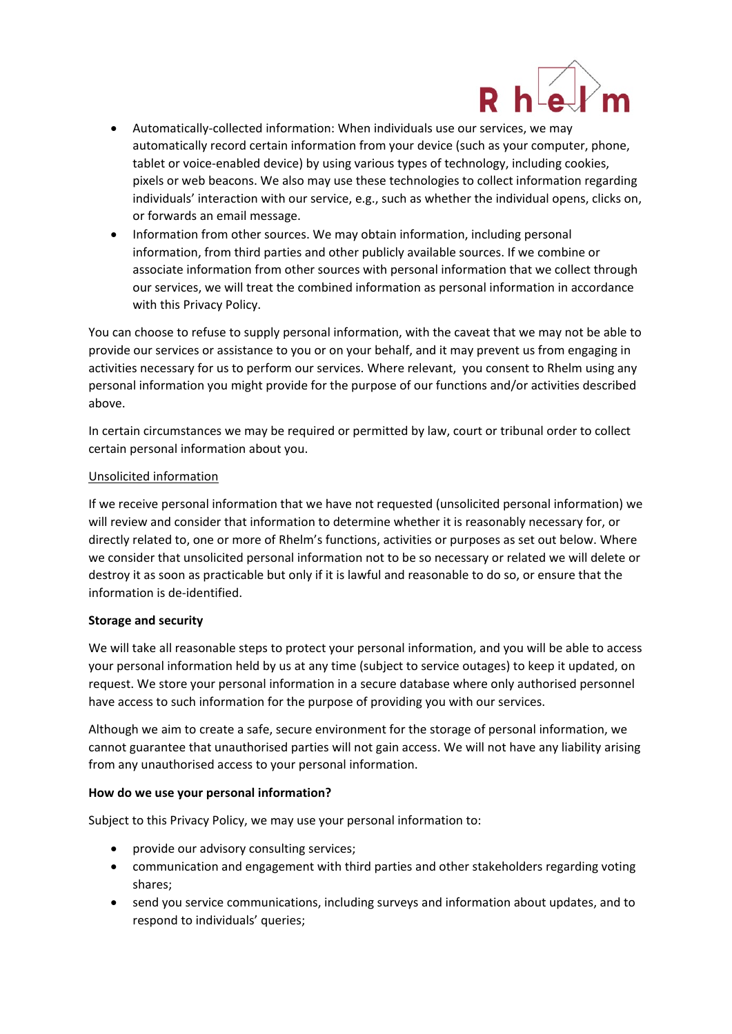

- Automatically-collected information: When individuals use our services, we may automatically record certain information from your device (such as your computer, phone, tablet or voice-enabled device) by using various types of technology, including cookies, pixels or web beacons. We also may use these technologies to collect information regarding individuals' interaction with our service, e.g., such as whether the individual opens, clicks on, or forwards an email message.
- Information from other sources. We may obtain information, including personal information, from third parties and other publicly available sources. If we combine or associate information from other sources with personal information that we collect through our services, we will treat the combined information as personal information in accordance with this Privacy Policy.

You can choose to refuse to supply personal information, with the caveat that we may not be able to provide our services or assistance to you or on your behalf, and it may prevent us from engaging in activities necessary for us to perform our services. Where relevant, you consent to Rhelm using any personal information you might provide for the purpose of our functions and/or activities described above.

In certain circumstances we may be required or permitted by law, court or tribunal order to collect certain personal information about you.

## Unsolicited information

If we receive personal information that we have not requested (unsolicited personal information) we will review and consider that information to determine whether it is reasonably necessary for, or directly related to, one or more of Rhelm's functions, activities or purposes as set out below. Where we consider that unsolicited personal information not to be so necessary or related we will delete or destroy it as soon as practicable but only if it is lawful and reasonable to do so, or ensure that the information is de-identified.

#### **Storage and security**

We will take all reasonable steps to protect your personal information, and you will be able to access your personal information held by us at any time (subject to service outages) to keep it updated, on request. We store your personal information in a secure database where only authorised personnel have access to such information for the purpose of providing you with our services.

Although we aim to create a safe, secure environment for the storage of personal information, we cannot guarantee that unauthorised parties will not gain access. We will not have any liability arising from any unauthorised access to your personal information.

# **How do we use your personal information?**

Subject to this Privacy Policy, we may use your personal information to:

- provide our advisory consulting services;
- communication and engagement with third parties and other stakeholders regarding voting shares;
- send you service communications, including surveys and information about updates, and to respond to individuals' queries;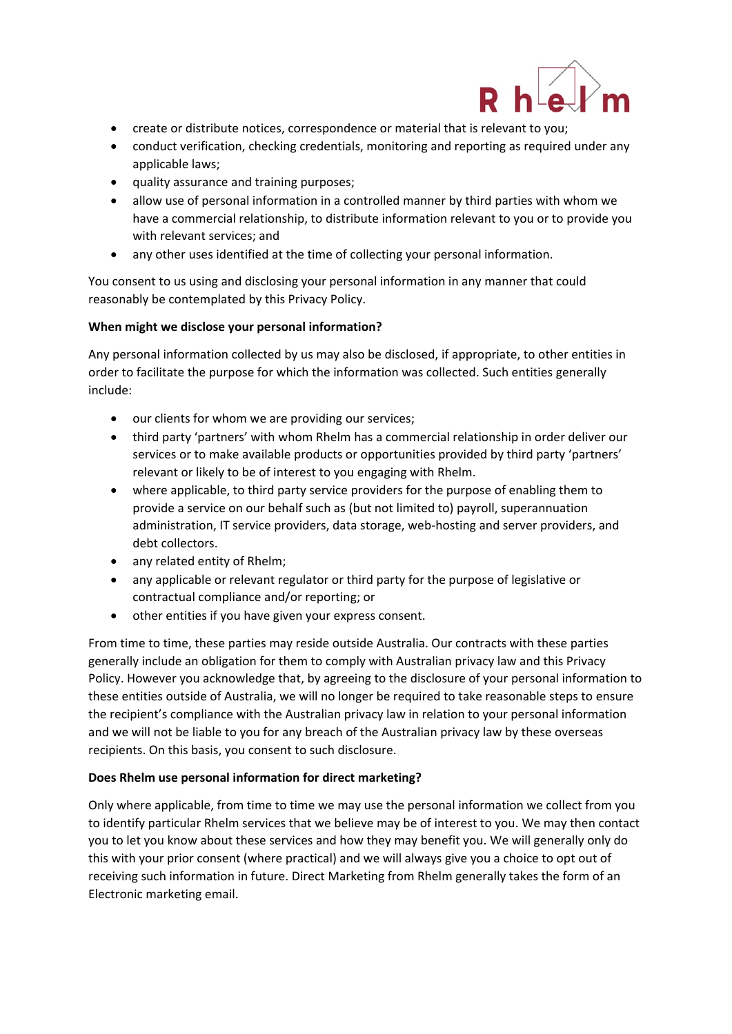

- create or distribute notices, correspondence or material that is relevant to you;
- conduct verification, checking credentials, monitoring and reporting as required under any applicable laws;
- quality assurance and training purposes;
- allow use of personal information in a controlled manner by third parties with whom we have a commercial relationship, to distribute information relevant to you or to provide you with relevant services; and
- any other uses identified at the time of collecting your personal information.

You consent to us using and disclosing your personal information in any manner that could reasonably be contemplated by this Privacy Policy.

#### **When might we disclose your personal information?**

Any personal information collected by us may also be disclosed, if appropriate, to other entities in order to facilitate the purpose for which the information was collected. Such entities generally include:

- our clients for whom we are providing our services;
- third party 'partners' with whom Rhelm has a commercial relationship in order deliver our services or to make available products or opportunities provided by third party 'partners' relevant or likely to be of interest to you engaging with Rhelm.
- where applicable, to third party service providers for the purpose of enabling them to provide a service on our behalf such as (but not limited to) payroll, superannuation administration, IT service providers, data storage, web-hosting and server providers, and debt collectors.
- any related entity of Rhelm;
- any applicable or relevant regulator or third party for the purpose of legislative or contractual compliance and/or reporting; or
- other entities if you have given your express consent.

From time to time, these parties may reside outside Australia. Our contracts with these parties generally include an obligation for them to comply with Australian privacy law and this Privacy Policy. However you acknowledge that, by agreeing to the disclosure of your personal information to these entities outside of Australia, we will no longer be required to take reasonable steps to ensure the recipient's compliance with the Australian privacy law in relation to your personal information and we will not be liable to you for any breach of the Australian privacy law by these overseas recipients. On this basis, you consent to such disclosure.

#### **Does Rhelm use personal information for direct marketing?**

Only where applicable, from time to time we may use the personal information we collect from you to identify particular Rhelm services that we believe may be of interest to you. We may then contact you to let you know about these services and how they may benefit you. We will generally only do this with your prior consent (where practical) and we will always give you a choice to opt out of receiving such information in future. Direct Marketing from Rhelm generally takes the form of an Electronic marketing email.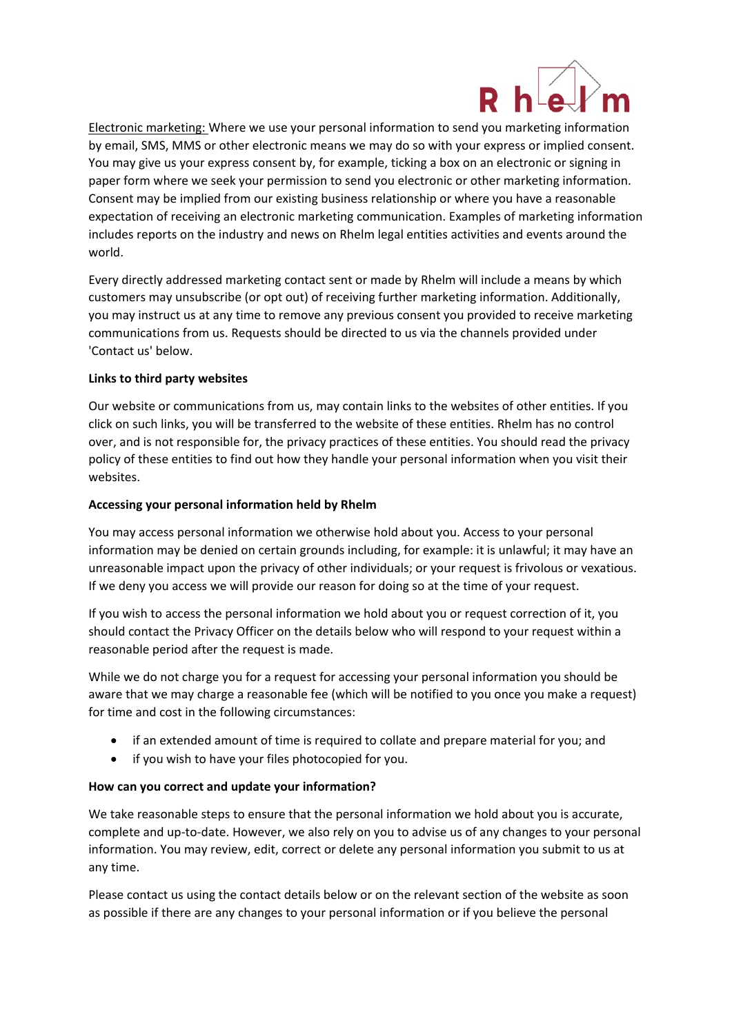

Electronic marketing: Where we use your personal information to send you marketing information by email, SMS, MMS or other electronic means we may do so with your express or implied consent. You may give us your express consent by, for example, ticking a box on an electronic or signing in paper form where we seek your permission to send you electronic or other marketing information. Consent may be implied from our existing business relationship or where you have a reasonable expectation of receiving an electronic marketing communication. Examples of marketing information includes reports on the industry and news on Rhelm legal entities activities and events around the world.

Every directly addressed marketing contact sent or made by Rhelm will include a means by which customers may unsubscribe (or opt out) of receiving further marketing information. Additionally, you may instruct us at any time to remove any previous consent you provided to receive marketing communications from us. Requests should be directed to us via the channels provided under 'Contact us' below.

# **Links to third party websites**

Our website or communications from us, may contain links to the websites of other entities. If you click on such links, you will be transferred to the website of these entities. Rhelm has no control over, and is not responsible for, the privacy practices of these entities. You should read the privacy policy of these entities to find out how they handle your personal information when you visit their websites.

# **Accessing your personal information held by Rhelm**

You may access personal information we otherwise hold about you. Access to your personal information may be denied on certain grounds including, for example: it is unlawful; it may have an unreasonable impact upon the privacy of other individuals; or your request is frivolous or vexatious. If we deny you access we will provide our reason for doing so at the time of your request.

If you wish to access the personal information we hold about you or request correction of it, you should contact the Privacy Officer on the details below who will respond to your request within a reasonable period after the request is made.

While we do not charge you for a request for accessing your personal information you should be aware that we may charge a reasonable fee (which will be notified to you once you make a request) for time and cost in the following circumstances:

- if an extended amount of time is required to collate and prepare material for you; and
- if you wish to have your files photocopied for you.

# **How can you correct and update your information?**

We take reasonable steps to ensure that the personal information we hold about you is accurate, complete and up-to-date. However, we also rely on you to advise us of any changes to your personal information. You may review, edit, correct or delete any personal information you submit to us at any time.

Please contact us using the contact details below or on the relevant section of the website as soon as possible if there are any changes to your personal information or if you believe the personal